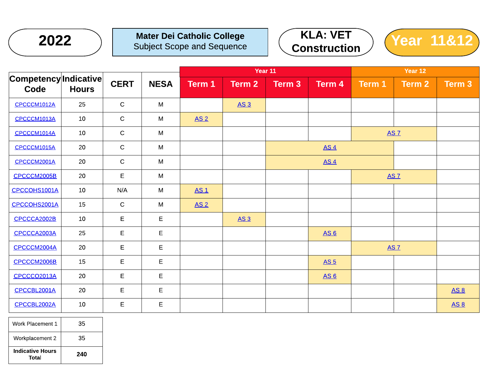

## Mater Dei Catholic College Subject Scope and Sequence





|                               |              |             |             | Year 11         |             |                 |                 | Year 12 |             |             |  |
|-------------------------------|--------------|-------------|-------------|-----------------|-------------|-----------------|-----------------|---------|-------------|-------------|--|
| Competency Indicative<br>Code | <b>Hours</b> | <b>CERT</b> | <b>NESA</b> | Term 1          | Term 2      | Term 3          | Term 4          | Term 1  | Term 2      | $Term$ 3    |  |
| CPCCCM1012A                   | 25           | $\mathsf C$ | M           |                 | <b>AS 3</b> |                 |                 |         |             |             |  |
| CPCCCM1013A                   | 10           | $\mathsf C$ | M           | AS <sub>2</sub> |             |                 |                 |         |             |             |  |
| CPCCCM1014A                   | 10           | $\mathbf C$ | M           |                 |             |                 |                 |         | <b>AS 7</b> |             |  |
| CPCCCM1015A                   | 20           | $\mathbf C$ | M           |                 |             |                 | AS <sub>4</sub> |         |             |             |  |
| CPCCCM2001A                   | 20           | $\mathsf C$ | M           |                 |             | AS <sub>4</sub> |                 |         |             |             |  |
| CPCCCM2005B                   | 20           | E.          | M           |                 |             | <b>AS 7</b>     |                 |         |             |             |  |
| CPCCOHS1001A                  | 10           | N/A         | M           | <b>AS1</b>      |             |                 |                 |         |             |             |  |
| CPCCOHS2001A                  | 15           | $\mathsf C$ | M           | AS <sub>2</sub> |             |                 |                 |         |             |             |  |
| CPCCCA2002B                   | 10           | E           | E.          |                 | <u>AS 3</u> |                 |                 |         |             |             |  |
| CPCCCA2003A                   | 25           | E           | E           |                 |             |                 | <b>AS6</b>      |         |             |             |  |
| CPCCCM2004A                   | 20           | E           | E           |                 |             |                 |                 |         | <b>AS 7</b> |             |  |
| CPCCCM2006B                   | 15           | E           | E           |                 |             |                 | <b>AS 5</b>     |         |             |             |  |
| CPCCCO2013A                   | 20           | E           | E           |                 |             |                 | <u>AS 6</u>     |         |             |             |  |
| CPCCBL2001A                   | 20           | E           | $\mathsf E$ |                 |             |                 |                 |         |             | <b>AS 8</b> |  |
| CPCCBL2002A                   | 10           | E           | E           |                 |             |                 |                 |         |             | <b>AS 8</b> |  |

| Work Placement 1                 | 35  |
|----------------------------------|-----|
| Workplacement 2                  | 35  |
| <b>Indicative Hours</b><br>Total | 240 |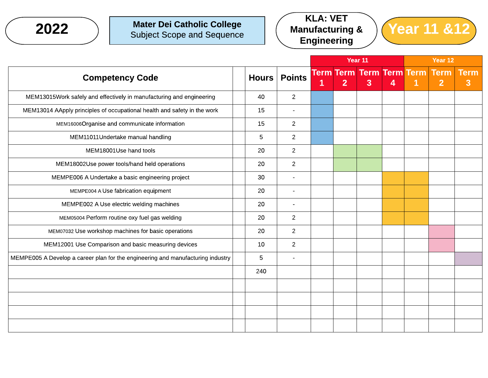

## Mater Dei Catholic College Subject Scope and Sequence





|                                                                                 |              |                |              |                | Year 11                              |   | Year 12 |                               |                  |
|---------------------------------------------------------------------------------|--------------|----------------|--------------|----------------|--------------------------------------|---|---------|-------------------------------|------------------|
| <b>Competency Code</b>                                                          | <b>Hours</b> | <b>Points</b>  | $\mathbf{1}$ | $\overline{2}$ | <b>Term Term Term Term Term</b><br>3 | 4 | 1       | <b>Term</b><br>2 <sup>2</sup> | <b>Term</b><br>3 |
| MEM13015Work safely and effectively in manufacturing and engineering            | 40           | $\overline{2}$ |              |                |                                      |   |         |                               |                  |
| MEM13014 AApply principles of occupational health and safety in the work        | 15           | $\blacksquare$ |              |                |                                      |   |         |                               |                  |
| MEM16006Organise and communicate information                                    | 15           | $\overline{2}$ |              |                |                                      |   |         |                               |                  |
| MEM11011Undertake manual handling                                               | 5            | $\overline{2}$ |              |                |                                      |   |         |                               |                  |
| MEM18001Use hand tools                                                          | 20           | $\overline{2}$ |              |                |                                      |   |         |                               |                  |
| MEM18002Use power tools/hand held operations                                    | 20           | $\overline{2}$ |              |                |                                      |   |         |                               |                  |
| MEMPE006 A Undertake a basic engineering project                                | 30           | $\sim$         |              |                |                                      |   |         |                               |                  |
| MEMPE004 A Use fabrication equipment                                            | 20           | $\overline{a}$ |              |                |                                      |   |         |                               |                  |
| MEMPE002 A Use electric welding machines                                        | 20           | $\blacksquare$ |              |                |                                      |   |         |                               |                  |
| MEM05004 Perform routine oxy fuel gas welding                                   | 20           | $\overline{2}$ |              |                |                                      |   |         |                               |                  |
| MEM07032 Use workshop machines for basic operations                             | 20           | $\overline{c}$ |              |                |                                      |   |         |                               |                  |
| MEM12001 Use Comparison and basic measuring devices                             | 10           | $\overline{2}$ |              |                |                                      |   |         |                               |                  |
| MEMPE005 A Develop a career plan for the engineering and manufacturing industry | 5            | $\overline{a}$ |              |                |                                      |   |         |                               |                  |
|                                                                                 | 240          |                |              |                |                                      |   |         |                               |                  |
|                                                                                 |              |                |              |                |                                      |   |         |                               |                  |
|                                                                                 |              |                |              |                |                                      |   |         |                               |                  |
|                                                                                 |              |                |              |                |                                      |   |         |                               |                  |
|                                                                                 |              |                |              |                |                                      |   |         |                               |                  |